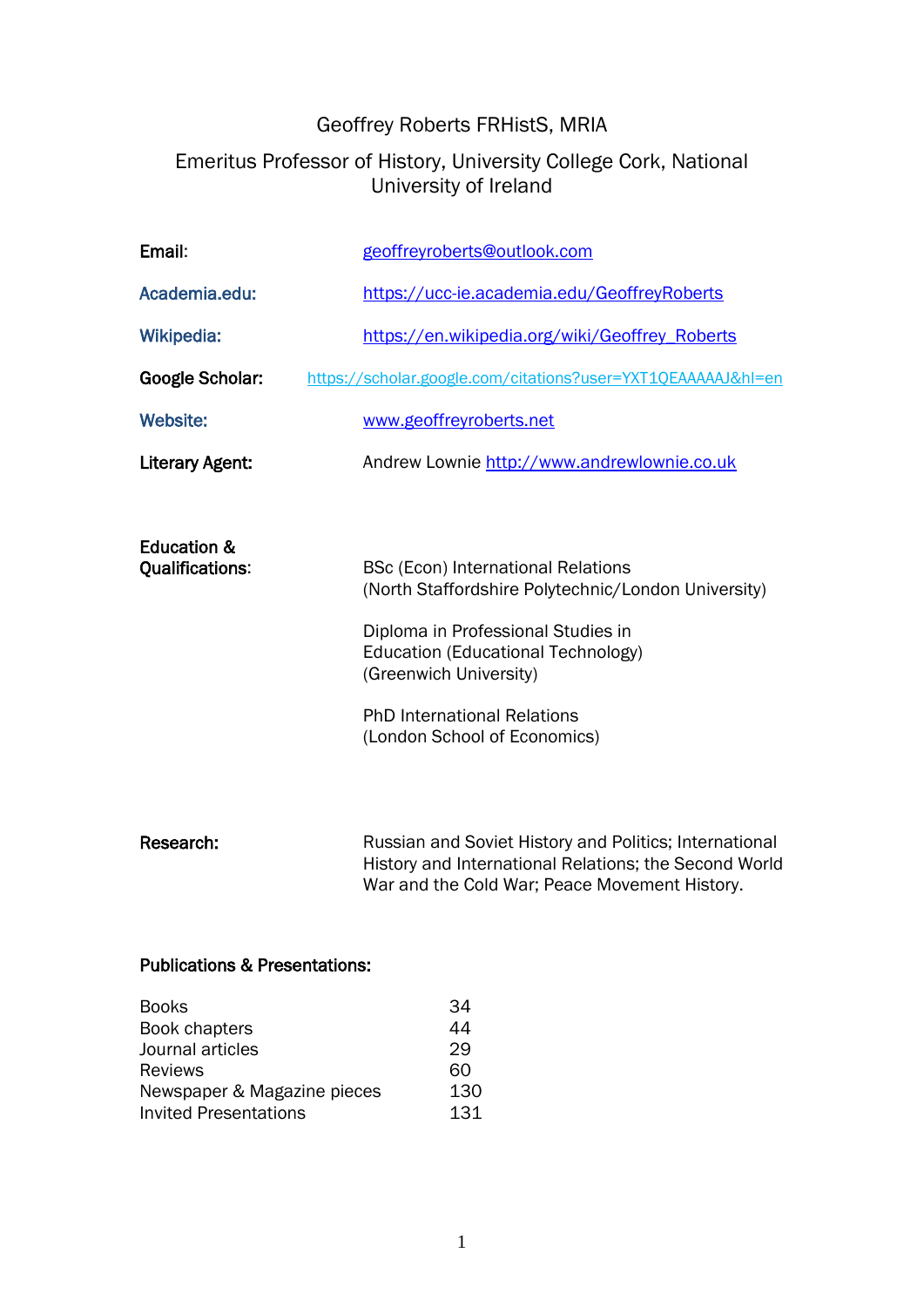## Geoffrey Roberts FRHistS, MRIA

## Emeritus Professor of History, University College Cork, National University of Ireland

| Email:                                           | geoffreyroberts@outlook.com                                                                                                                                                                                                                                                  |
|--------------------------------------------------|------------------------------------------------------------------------------------------------------------------------------------------------------------------------------------------------------------------------------------------------------------------------------|
| Academia.edu:                                    | https://ucc-ie.academia.edu/GeoffreyRoberts                                                                                                                                                                                                                                  |
| <b>Wikipedia:</b>                                | https://en.wikipedia.org/wiki/Geoffrey_Roberts                                                                                                                                                                                                                               |
| <b>Google Scholar:</b>                           | https://scholar.google.com/citations?user=YXT1QEAAAAAJ&hl=en                                                                                                                                                                                                                 |
| <b>Website:</b>                                  | www.geoffreyroberts.net                                                                                                                                                                                                                                                      |
| Literary Agent:                                  | Andrew Lownie http://www.andrewlownie.co.uk                                                                                                                                                                                                                                  |
|                                                  |                                                                                                                                                                                                                                                                              |
| <b>Education &amp;</b><br><b>Qualifications:</b> | <b>BSc (Econ) International Relations</b><br>(North Staffordshire Polytechnic/London University)<br>Diploma in Professional Studies in<br>Education (Educational Technology)<br>(Greenwich University)<br><b>PhD International Relations</b><br>(London School of Economics) |
| Research:                                        | Russian and Soviet History and Politics; International                                                                                                                                                                                                                       |

History and International Relations; the Second World War and the Cold War; Peace Movement History.

## Publications & Presentations:

| <b>Books</b>                 | 34  |
|------------------------------|-----|
| Book chapters                | 44  |
| Journal articles             | 29  |
| <b>Reviews</b>               | 60  |
| Newspaper & Magazine pieces  | 130 |
| <b>Invited Presentations</b> | 131 |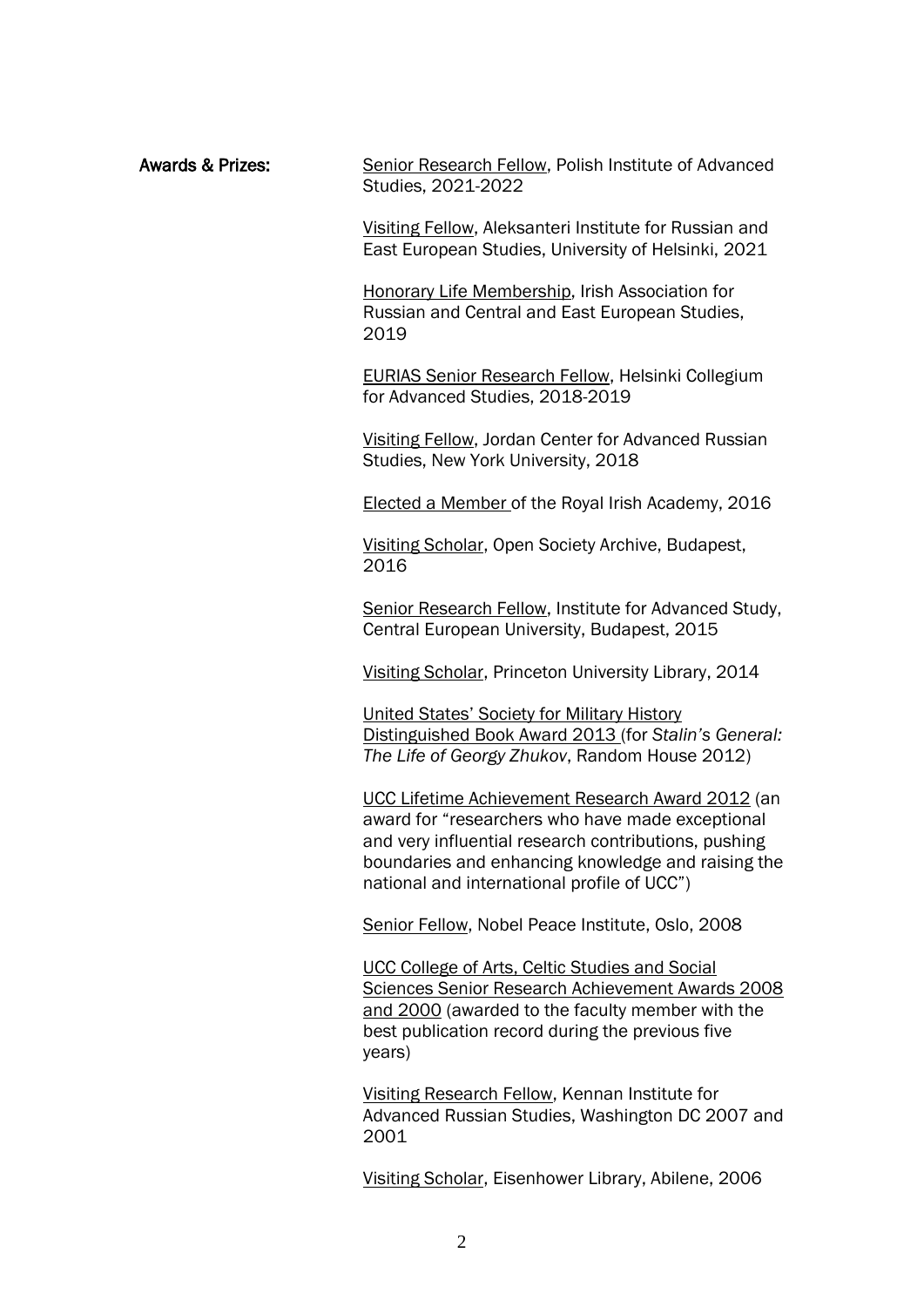Awards & Prizes: Senior Research Fellow, Polish Institute of Advanced Studies, 2021-2022

> Visiting Fellow, Aleksanteri Institute for Russian and East European Studies, University of Helsinki, 2021

Honorary Life Membership, Irish Association for Russian and Central and East European Studies, 2019

EURIAS Senior Research Fellow, Helsinki Collegium for Advanced Studies, 2018-2019

Visiting Fellow, Jordan Center for Advanced Russian Studies, New York University, 2018

Elected a Member of the Royal Irish Academy, 2016

Visiting Scholar, Open Society Archive, Budapest, 2016

Senior Research Fellow, Institute for Advanced Study, Central European University, Budapest, 2015

Visiting Scholar, Princeton University Library, 2014

United States' Society for Military History Distinguished Book Award 2013 (for *Stalin's General: The Life of Georgy Zhukov*, Random House 2012)

UCC Lifetime Achievement Research Award 2012 (an award for "researchers who have made exceptional and very influential research contributions, pushing boundaries and enhancing knowledge and raising the national and international profile of UCC")

Senior Fellow, Nobel Peace Institute, Oslo, 2008

UCC College of Arts, Celtic Studies and Social Sciences Senior Research Achievement Awards 2008 and 2000 (awarded to the faculty member with the best publication record during the previous five years)

Visiting Research Fellow, Kennan Institute for Advanced Russian Studies, Washington DC 2007 and 2001

Visiting Scholar, Eisenhower Library, Abilene, 2006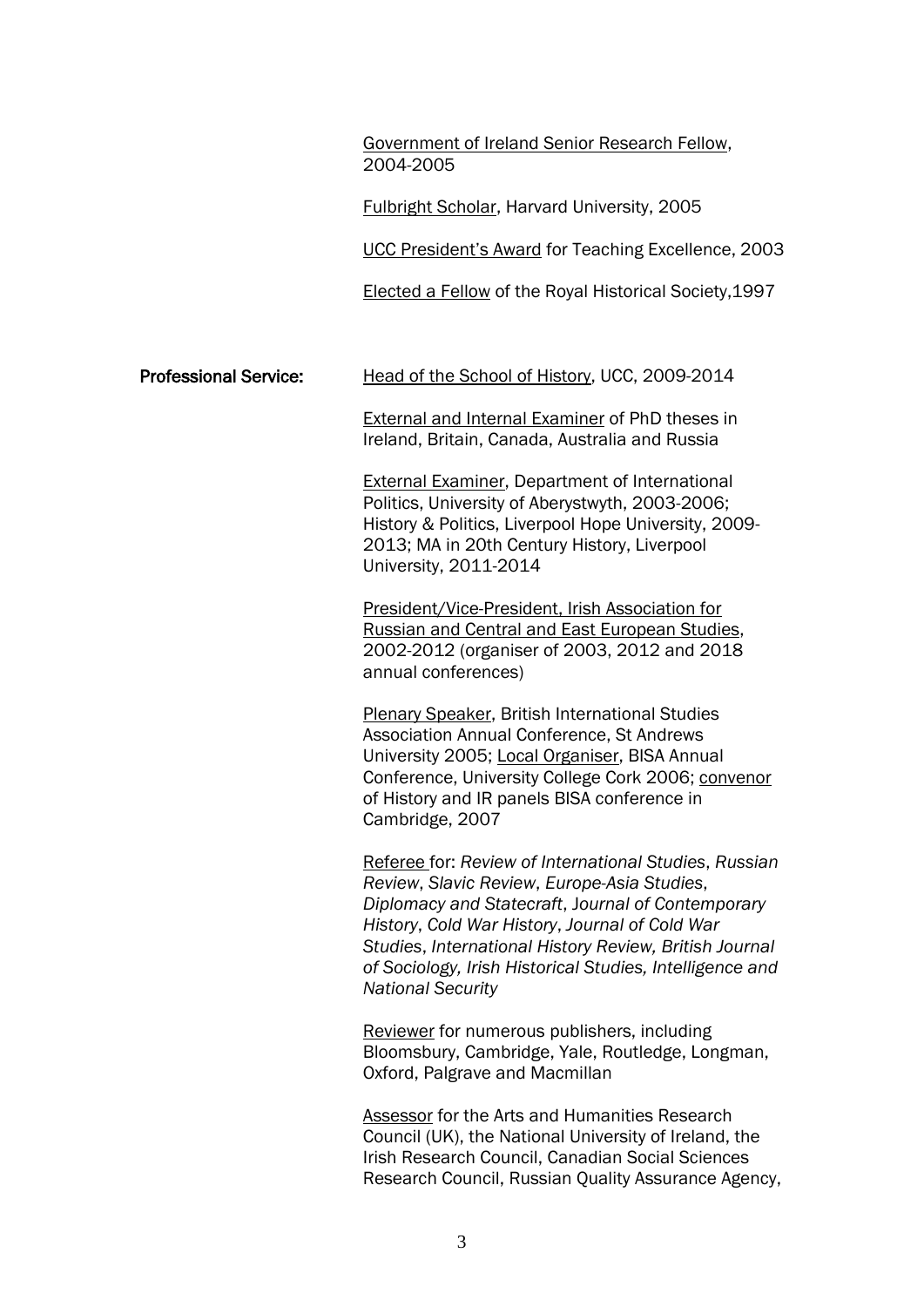Government of Ireland Senior Research Fellow, 2004-2005

Fulbright Scholar, Harvard University, 2005

UCC President's Award for Teaching Excellence, 2003

Elected a Fellow of the Royal Historical Society,1997

Professional Service: Head of the School of History, UCC, 2009-2014

External and Internal Examiner of PhD theses in Ireland, Britain, Canada, Australia and Russia

External Examiner, Department of International Politics, University of Aberystwyth, 2003-2006; History & Politics, Liverpool Hope University, 2009- 2013; MA in 20th Century History, Liverpool University, 2011-2014

President/Vice-President, Irish Association for Russian and Central and East European Studies, 2002-2012 (organiser of 2003, 2012 and 2018 annual conferences)

Plenary Speaker, British International Studies Association Annual Conference, St Andrews University 2005; Local Organiser, BISA Annual Conference, University College Cork 2006; convenor of History and IR panels BISA conference in Cambridge, 2007

Referee for: *Review of International Studies*, *Russian Review*, *Slavic Review*, *Europe-Asia Studies*, *Diplomacy and Statecraft*, J*ournal of Contemporary History*, *Cold War History*, *Journal of Cold War Studies*, *International History Review, British Journal of Sociology, Irish Historical Studies, Intelligence and National Security*

Reviewer for numerous publishers, including Bloomsbury, Cambridge, Yale, Routledge, Longman, Oxford, Palgrave and Macmillan

Assessor for the Arts and Humanities Research Council (UK), the National University of Ireland, the Irish Research Council, Canadian Social Sciences Research Council, Russian Quality Assurance Agency,